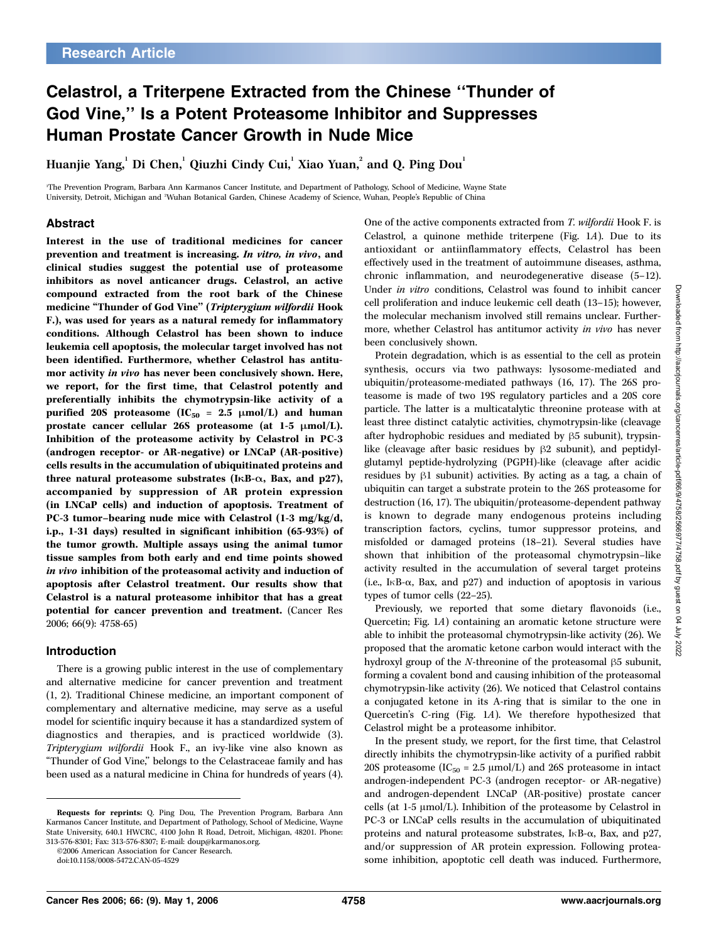# Celastrol, a Triterpene Extracted from the Chinese ''Thunder of God Vine,'' Is a Potent Proteasome Inhibitor and Suppresses Human Prostate Cancer Growth in Nude Mice

Huanjie Yang, $^{\rm l}$  Di Chen, $^{\rm l}$  Qiuzhi Cindy Cui, $^{\rm l}$  Xiao Yuan, $^{\rm 2}$  and Q. Ping Dou $^{\rm l}$ 

1 The Prevention Program, Barbara Ann Karmanos Cancer Institute, and Department of Pathology, School of Medicine, Wayne State University, Detroit, Michigan and <sup>2</sup>Wuhan Botanical Garden, Chinese Academy of Science, Wuhan, People's Republic of China

## Abstract

Interest in the use of traditional medicines for cancer prevention and treatment is increasing. In vitro, in vivo, and clinical studies suggest the potential use of proteasome inhibitors as novel anticancer drugs. Celastrol, an active compound extracted from the root bark of the Chinese medicine "Thunder of God Vine" (Tripterygium wilfordii Hook F.), was used for years as a natural remedy for inflammatory conditions. Although Celastrol has been shown to induce leukemia cell apoptosis, the molecular target involved has not been identified. Furthermore, whether Celastrol has antitumor activity in vivo has never been conclusively shown. Here, we report, for the first time, that Celastrol potently and preferentially inhibits the chymotrypsin-like activity of a purified 20S proteasome (IC<sub>50</sub> = 2.5  $\mu$ mol/L) and human prostate cancer cellular 26S proteasome (at  $1-5 \mu \text{mol/L}$ ). Inhibition of the proteasome activity by Celastrol in PC-3 (androgen receptor- or AR-negative) or LNCaP (AR-positive) cells results in the accumulation of ubiquitinated proteins and three natural proteasome substrates (IKB- $\alpha$ , Bax, and p27), accompanied by suppression of AR protein expression (in LNCaP cells) and induction of apoptosis. Treatment of PC-3 tumor–bearing nude mice with Celastrol (1-3 mg/kg/d, i.p., 1-31 days) resulted in significant inhibition (65-93%) of the tumor growth. Multiple assays using the animal tumor tissue samples from both early and end time points showed in vivo inhibition of the proteasomal activity and induction of apoptosis after Celastrol treatment. Our results show that Celastrol is a natural proteasome inhibitor that has a great potential for cancer prevention and treatment. (Cancer Res 2006; 66(9): 4758-65)

## Introduction

There is a growing public interest in the use of complementary and alternative medicine for cancer prevention and treatment (1, 2). Traditional Chinese medicine, an important component of complementary and alternative medicine, may serve as a useful model for scientific inquiry because it has a standardized system of diagnostics and therapies, and is practiced worldwide (3). Tripterygium wilfordii Hook F., an ivy-like vine also known as ''Thunder of God Vine,'' belongs to the Celastraceae family and has been used as a natural medicine in China for hundreds of years (4).

©2006 American Association for Cancer Research.

One of the active components extracted from T. wilfordii Hook F. is Celastrol, a quinone methide triterpene (Fig. 1A). Due to its antioxidant or antiinflammatory effects, Celastrol has been effectively used in the treatment of autoimmune diseases, asthma, chronic inflammation, and neurodegenerative disease (5–12). Under in vitro conditions, Celastrol was found to inhibit cancer cell proliferation and induce leukemic cell death (13–15); however, the molecular mechanism involved still remains unclear. Furthermore, whether Celastrol has antitumor activity in vivo has never been conclusively shown.

Protein degradation, which is as essential to the cell as protein synthesis, occurs via two pathways: lysosome-mediated and ubiquitin/proteasome-mediated pathways (16, 17). The 26S proteasome is made of two 19S regulatory particles and a 20S core particle. The latter is a multicatalytic threonine protease with at least three distinct catalytic activities, chymotrypsin-like (cleavage after hydrophobic residues and mediated by  $\beta$ 5 subunit), trypsinlike (cleavage after basic residues by  $\beta$ 2 subunit), and peptidylglutamyl peptide-hydrolyzing (PGPH)-like (cleavage after acidic residues by  $\beta$ 1 subunit) activities. By acting as a tag, a chain of ubiquitin can target a substrate protein to the 26S proteasome for destruction (16, 17). The ubiquitin/proteasome-dependent pathway is known to degrade many endogenous proteins including transcription factors, cyclins, tumor suppressor proteins, and misfolded or damaged proteins (18–21). Several studies have shown that inhibition of the proteasomal chymotrypsin–like activity resulted in the accumulation of several target proteins (i.e.,  $I \kappa B$ - $\alpha$ , Bax, and p27) and induction of apoptosis in various types of tumor cells (22–25).

Previously, we reported that some dietary flavonoids (i.e., Quercetin; Fig. 1A) containing an aromatic ketone structure were able to inhibit the proteasomal chymotrypsin-like activity (26). We proposed that the aromatic ketone carbon would interact with the hydroxyl group of the N-threonine of the proteasomal  $\beta$ 5 subunit, forming a covalent bond and causing inhibition of the proteasomal chymotrypsin-like activity (26). We noticed that Celastrol contains a conjugated ketone in its A-ring that is similar to the one in Quercetin's C-ring (Fig. 1A). We therefore hypothesized that Celastrol might be a proteasome inhibitor.

In the present study, we report, for the first time, that Celastrol directly inhibits the chymotrypsin-like activity of a purified rabbit 20S proteasome ( $IC_{50} = 2.5 \mu mol/L$ ) and 26S proteasome in intact androgen-independent PC-3 (androgen receptor- or AR-negative) and androgen-dependent LNCaP (AR-positive) prostate cancer cells (at  $1-5 \mu \text{mol/L}$ ). Inhibition of the proteasome by Celastrol in PC-3 or LNCaP cells results in the accumulation of ubiquitinated proteins and natural proteasome substrates,  $I \kappa B$ - $\alpha$ , Bax, and p27, and/or suppression of AR protein expression. Following proteasome inhibition, apoptotic cell death was induced. Furthermore,

Requests for reprints: Q. Ping Dou, The Prevention Program, Barbara Ann Karmanos Cancer Institute, and Department of Pathology, School of Medicine, Wayne State University, 640.1 HWCRC, 4100 John R Road, Detroit, Michigan, 48201. Phone: 313-576-8301; Fax: 313-576-8307; E-mail: doup@karmanos.org.

doi:10.1158/0008-5472.CAN-05-4529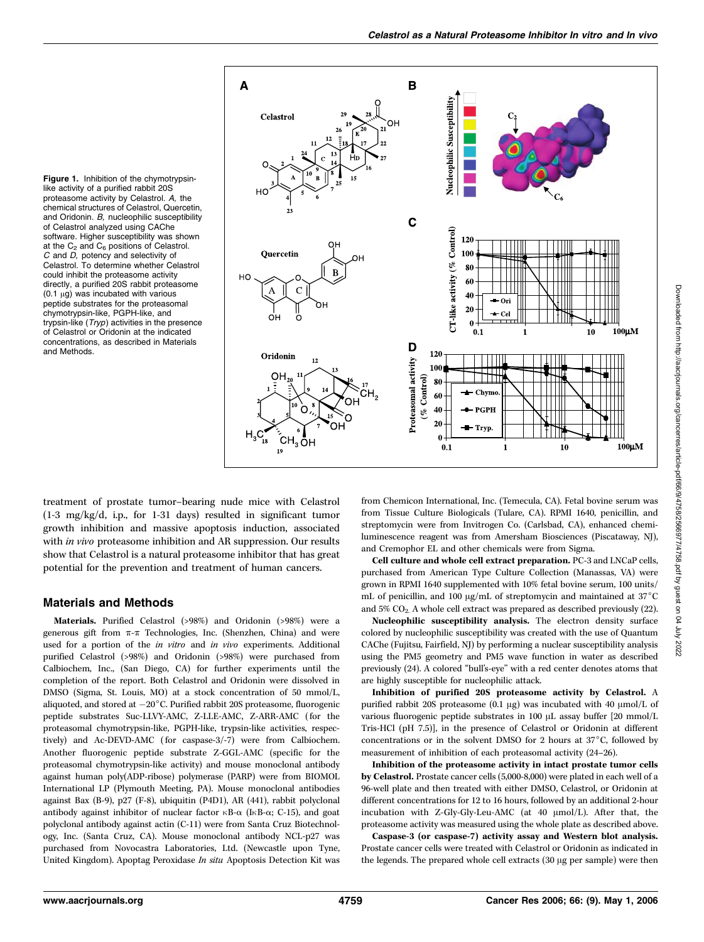

Figure 1. Inhibition of the chymotrypsinlike activity of a purified rabbit 20S proteasome activity by Celastrol. A, the chemical structures of Celastrol, Quercetin, and Oridonin. B, nucleophilic susceptibility of Celastrol analyzed using CAChe software. Higher susceptibility was shown at the  $C_2$  and  $C_6$  positions of Celastrol. C and D, potency and selectivity of Celastrol. To determine whether Celastrol could inhibit the proteasome activity directly, a purified 20S rabbit proteasome  $(0.1 \mu g)$  was incubated with various peptide substrates for the proteasomal chymotrypsin-like, PGPH-like, and trypsin-like (Tryp) activities in the presence of Celastrol or Oridonin at the indicated concentrations, as described in Materials and Methods.

treatment of prostate tumor–bearing nude mice with Celastrol (1-3 mg/kg/d, i.p., for 1-31 days) resulted in significant tumor growth inhibition and massive apoptosis induction, associated with *in vivo* proteasome inhibition and AR suppression. Our results show that Celastrol is a natural proteasome inhibitor that has great potential for the prevention and treatment of human cancers.

## Materials and Methods

Materials. Purified Celastrol (>98%) and Oridonin (>98%) were a generous gift from  $\pi$ - $\pi$  Technologies, Inc. (Shenzhen, China) and were used for a portion of the in vitro and in vivo experiments. Additional purified Celastrol (>98%) and Oridonin (>98%) were purchased from Calbiochem, Inc., (San Diego, CA) for further experiments until the completion of the report. Both Celastrol and Oridonin were dissolved in DMSO (Sigma, St. Louis, MO) at a stock concentration of 50 mmol/L, aliquoted, and stored at  $-20^{\circ}$ C. Purified rabbit 20S proteasome, fluorogenic peptide substrates Suc-LLVY-AMC, Z-LLE-AMC, Z-ARR-AMC (for the proteasomal chymotrypsin-like, PGPH-like, trypsin-like activities, respectively) and Ac-DEVD-AMC (for caspase-3/-7) were from Calbiochem. Another fluorogenic peptide substrate Z-GGL-AMC (specific for the proteasomal chymotrypsin-like activity) and mouse monoclonal antibody against human poly(ADP-ribose) polymerase (PARP) were from BIOMOL International LP (Plymouth Meeting, PA). Mouse monoclonal antibodies against Bax (B-9), p27 (F-8), ubiquitin (P4D1), AR (441), rabbit polyclonal antibody against inhibitor of nuclear factor  $\kappa$ B- $\alpha$  (I $\kappa$ B- $\alpha$ ; C-15), and goat polyclonal antibody against actin (C-11) were from Santa Cruz Biotechnology, Inc. (Santa Cruz, CA). Mouse monoclonal antibody NCL-p27 was purchased from Novocastra Laboratories, Ltd. (Newcastle upon Tyne, United Kingdom). Apoptag Peroxidase In situ Apoptosis Detection Kit was

from Chemicon International, Inc. (Temecula, CA). Fetal bovine serum was from Tissue Culture Biologicals (Tulare, CA). RPMI 1640, penicillin, and streptomycin were from Invitrogen Co. (Carlsbad, CA), enhanced chemiluminescence reagent was from Amersham Biosciences (Piscataway, NJ), and Cremophor EL and other chemicals were from Sigma.

Cell culture and whole cell extract preparation. PC-3 and LNCaP cells, purchased from American Type Culture Collection (Manassas, VA) were grown in RPMI 1640 supplemented with 10% fetal bovine serum, 100 units/ mL of penicillin, and 100  $\mu$ g/mL of streptomycin and maintained at 37°C and 5% CO2. A whole cell extract was prepared as described previously (22).

Nucleophilic susceptibility analysis. The electron density surface colored by nucleophilic susceptibility was created with the use of Quantum CAChe (Fujitsu, Fairfield, NJ) by performing a nuclear susceptibility analysis using the PM5 geometry and PM5 wave function in water as described previously (24). A colored ''bull's-eye'' with a red center denotes atoms that are highly susceptible for nucleophilic attack.

Inhibition of purified 20S proteasome activity by Celastrol. A purified rabbit 20S proteasome (0.1  $\mu$ g) was incubated with 40  $\mu$ mol/L of various fluorogenic peptide substrates in 100 µL assay buffer [20 mmol/L Tris-HCl (pH 7.5)], in the presence of Celastrol or Oridonin at different concentrations or in the solvent DMSO for 2 hours at  $37^{\circ}$ C, followed by measurement of inhibition of each proteasomal activity (24–26).

Inhibition of the proteasome activity in intact prostate tumor cells by Celastrol. Prostate cancer cells (5,000-8,000) were plated in each well of a 96-well plate and then treated with either DMSO, Celastrol, or Oridonin at different concentrations for 12 to 16 hours, followed by an additional 2-hour incubation with Z-Gly-Gly-Leu-AMC (at 40  $\mu$ mol/L). After that, the proteasome activity was measured using the whole plate as described above.

Caspase-3 (or caspase-7) activity assay and Western blot analysis. Prostate cancer cells were treated with Celastrol or Oridonin as indicated in the legends. The prepared whole cell extracts  $(30 \mu g$  per sample) were then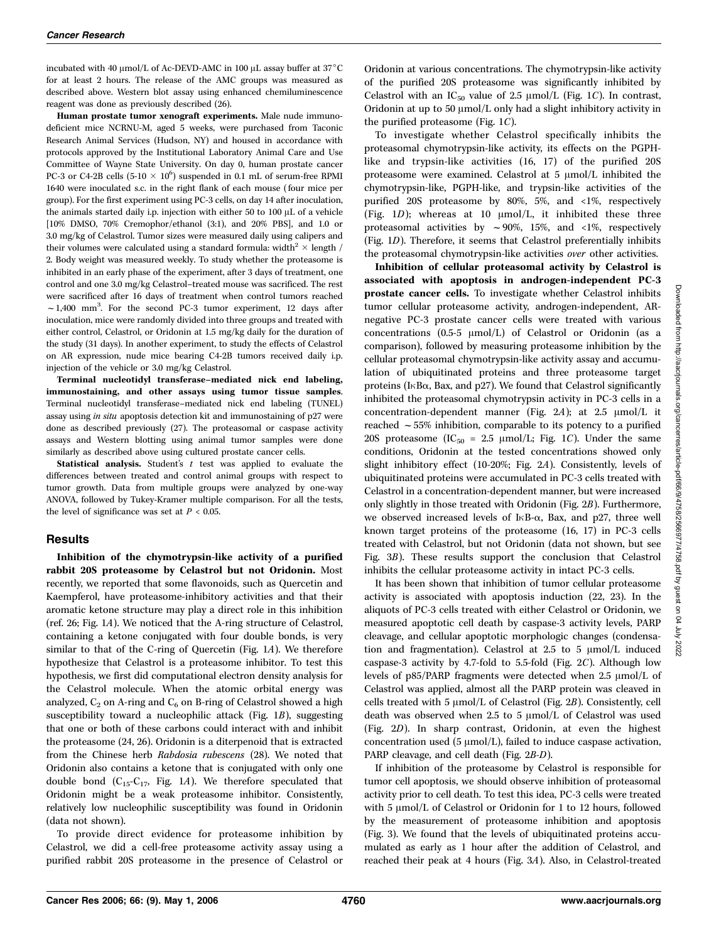incubated with 40  $\mu$ mol/L of Ac-DEVD-AMC in 100  $\mu$ L assay buffer at 37°C for at least 2 hours. The release of the AMC groups was measured as described above. Western blot assay using enhanced chemiluminescence reagent was done as previously described (26).

Human prostate tumor xenograft experiments. Male nude immunodeficient mice NCRNU-M, aged 5 weeks, were purchased from Taconic Research Animal Services (Hudson, NY) and housed in accordance with protocols approved by the Institutional Laboratory Animal Care and Use Committee of Wayne State University. On day 0, human prostate cancer PC-3 or C4-2B cells  $(5{\text -}10 \times 10^6)$  suspended in 0.1 mL of serum-free RPMI 1640 were inoculated s.c. in the right flank of each mouse (four mice per group). For the first experiment using PC-3 cells, on day 14 after inoculation, the animals started daily i.p. injection with either 50 to 100  $\mu$ L of a vehicle [10% DMSO, 70% Cremophor/ethanol (3:1), and 20% PBS], and 1.0 or 3.0 mg/kg of Celastrol. Tumor sizes were measured daily using calipers and their volumes were calculated using a standard formula: width  $^2 \times$  length / 2. Body weight was measured weekly. To study whether the proteasome is inhibited in an early phase of the experiment, after 3 days of treatment, one control and one 3.0 mg/kg Celastrol–treated mouse was sacrificed. The rest were sacrificed after 16 days of treatment when control tumors reached  $\sim$  1,400 mm<sup>3</sup>. For the second PC-3 tumor experiment, 12 days after inoculation, mice were randomly divided into three groups and treated with either control, Celastrol, or Oridonin at 1.5 mg/kg daily for the duration of the study (31 days). In another experiment, to study the effects of Celastrol on AR expression, nude mice bearing C4-2B tumors received daily i.p. injection of the vehicle or 3.0 mg/kg Celastrol.

Terminal nucleotidyl transferase–mediated nick end labeling, immunostaining, and other assays using tumor tissue samples. Terminal nucleotidyl transferase–mediated nick end labeling (TUNEL) assay using in situ apoptosis detection kit and immunostaining of p27 were done as described previously (27). The proteasomal or caspase activity assays and Western blotting using animal tumor samples were done similarly as described above using cultured prostate cancer cells.

**Statistical analysis.** Student's  $t$  test was applied to evaluate the differences between treated and control animal groups with respect to tumor growth. Data from multiple groups were analyzed by one-way ANOVA, followed by Tukey-Kramer multiple comparison. For all the tests, the level of significance was set at  $P < 0.05$ .

#### **Results**

Inhibition of the chymotrypsin-like activity of a purified rabbit 20S proteasome by Celastrol but not Oridonin. Most recently, we reported that some flavonoids, such as Quercetin and Kaempferol, have proteasome-inhibitory activities and that their aromatic ketone structure may play a direct role in this inhibition (ref. 26; Fig. 1A). We noticed that the A-ring structure of Celastrol, containing a ketone conjugated with four double bonds, is very similar to that of the C-ring of Quercetin (Fig. 1A). We therefore hypothesize that Celastrol is a proteasome inhibitor. To test this hypothesis, we first did computational electron density analysis for the Celastrol molecule. When the atomic orbital energy was analyzed,  $C_2$  on A-ring and  $C_6$  on B-ring of Celastrol showed a high susceptibility toward a nucleophilic attack (Fig. 1B), suggesting that one or both of these carbons could interact with and inhibit the proteasome (24, 26). Oridonin is a diterpenoid that is extracted from the Chinese herb Rabdosia rubescens (28). We noted that Oridonin also contains a ketone that is conjugated with only one double bond  $(C_{15}-C_{17}, Fig. 1A)$ . We therefore speculated that Oridonin might be a weak proteasome inhibitor. Consistently, relatively low nucleophilic susceptibility was found in Oridonin (data not shown).

To provide direct evidence for proteasome inhibition by Celastrol, we did a cell-free proteasome activity assay using a purified rabbit 20S proteasome in the presence of Celastrol or

Oridonin at various concentrations. The chymotrypsin-like activity of the purified 20S proteasome was significantly inhibited by Celastrol with an IC<sub>50</sub> value of 2.5  $\mu$ mol/L (Fig. 1C). In contrast, Oridonin at up to 50  $\mu$ mol/L only had a slight inhibitory activity in the purified proteasome (Fig. 1C).

To investigate whether Celastrol specifically inhibits the proteasomal chymotrypsin-like activity, its effects on the PGPHlike and trypsin-like activities (16, 17) of the purified 20S proteasome were examined. Celastrol at  $5 \mu$ mol/L inhibited the chymotrypsin-like, PGPH-like, and trypsin-like activities of the purified 20S proteasome by 80%, 5%, and <1%, respectively (Fig.  $1D$ ); whereas at 10  $\mu$ mol/L, it inhibited these three proteasomal activities by  $\sim$  90%, 15%, and <1%, respectively (Fig. 1D). Therefore, it seems that Celastrol preferentially inhibits the proteasomal chymotrypsin-like activities over other activities.

Inhibition of cellular proteasomal activity by Celastrol is associated with apoptosis in androgen-independent PC-3 prostate cancer cells. To investigate whether Celastrol inhibits tumor cellular proteasome activity, androgen-independent, ARnegative PC-3 prostate cancer cells were treated with various concentrations  $(0.5-5 \text{ }\mu\text{mol/L})$  of Celastrol or Oridonin (as a comparison), followed by measuring proteasome inhibition by the cellular proteasomal chymotrypsin-like activity assay and accumulation of ubiquitinated proteins and three proteasome target proteins (I $\kappa$ B $\alpha$ , Bax, and p27). We found that Celastrol significantly inhibited the proteasomal chymotrypsin activity in PC-3 cells in a concentration-dependent manner (Fig. 2A); at 2.5  $\mu$ mol/L it reached  $\sim$  55% inhibition, comparable to its potency to a purified 20S proteasome (IC<sub>50</sub> = 2.5  $\mu$ mol/L; Fig. 1C). Under the same conditions, Oridonin at the tested concentrations showed only slight inhibitory effect (10-20%; Fig. 2A). Consistently, levels of ubiquitinated proteins were accumulated in PC-3 cells treated with Celastrol in a concentration-dependent manner, but were increased only slightly in those treated with Oridonin (Fig. 2B). Furthermore, we observed increased levels of  $I \kappa B$ - $\alpha$ , Bax, and p27, three well known target proteins of the proteasome (16, 17) in PC-3 cells treated with Celastrol, but not Oridonin (data not shown, but see Fig. 3B). These results support the conclusion that Celastrol inhibits the cellular proteasome activity in intact PC-3 cells.

It has been shown that inhibition of tumor cellular proteasome activity is associated with apoptosis induction (22, 23). In the aliquots of PC-3 cells treated with either Celastrol or Oridonin, we measured apoptotic cell death by caspase-3 activity levels, PARP cleavage, and cellular apoptotic morphologic changes (condensation and fragmentation). Celastrol at 2.5 to 5  $\mu$ mol/L induced caspase-3 activity by 4.7-fold to 5.5-fold (Fig. 2C). Although low levels of p85/PARP fragments were detected when  $2.5 \mu$ mol/L of Celastrol was applied, almost all the PARP protein was cleaved in cells treated with 5  $\mu$ mol/L of Celastrol (Fig. 2B). Consistently, cell death was observed when 2.5 to 5  $\mu$ mol/L of Celastrol was used (Fig. 2D). In sharp contrast, Oridonin, at even the highest concentration used (5  $\mu$ mol/L), failed to induce caspase activation, PARP cleavage, and cell death (Fig. 2B-D).

If inhibition of the proteasome by Celastrol is responsible for tumor cell apoptosis, we should observe inhibition of proteasomal activity prior to cell death. To test this idea, PC-3 cells were treated with 5  $\mu$ mol/L of Celastrol or Oridonin for 1 to 12 hours, followed by the measurement of proteasome inhibition and apoptosis (Fig. 3). We found that the levels of ubiquitinated proteins accumulated as early as 1 hour after the addition of Celastrol, and reached their peak at 4 hours (Fig. 3A). Also, in Celastrol-treated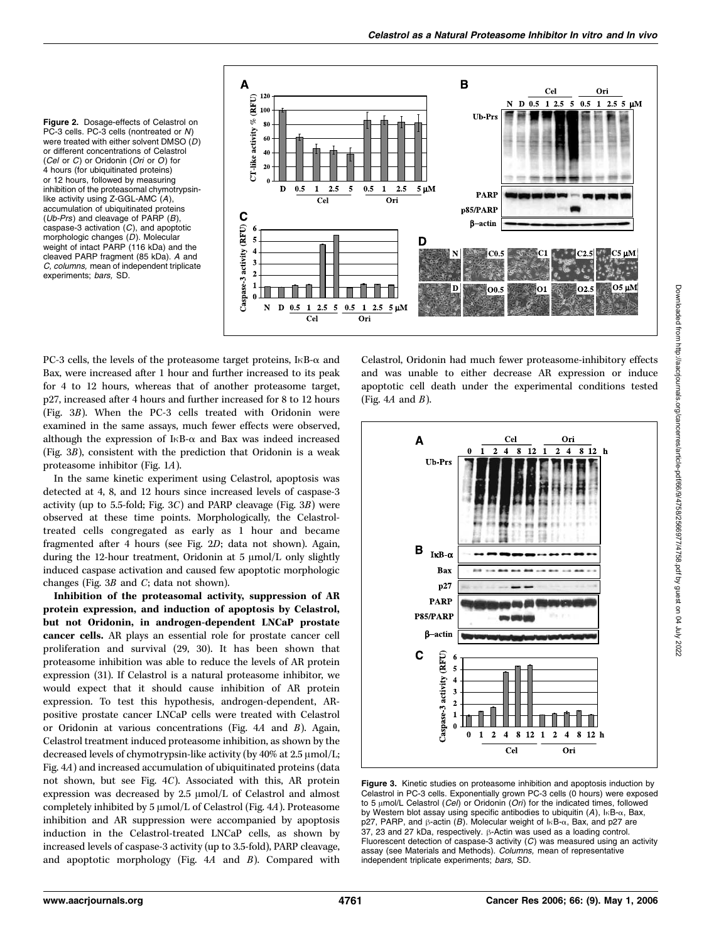Figure 2. Dosage-effects of Celastrol on PC-3 cells. PC-3 cells (nontreated or N) were treated with either solvent DMSO (D) or different concentrations of Celastrol<br>(Cel or C) or Oridonin (Ori or O) for (*Cel* or *C*) or Oridonin (*Ori* or *O*) for<br>4 hours (for ubiquitinated proteins) or 12 hours, followed by measuring inhibition of the proteasomal chymotrypsinlike activity using Z-GGL-AMC  $(A)$ , accumulation of ubiquitinated proteins (Ub-Prs) and cleavage of PARP  $(B)$ , caspase-3 activation  $(C)$ , and apoptotic<br>morphologic changes  $(D)$ . Molecular morphologic changes (D). Molecular weight of intact PARP (116 kDa) and the cleaved PARP fragment (85 kDa). A and C, columns, mean of independent triplicate experiments; bars, SD.



PC-3 cells, the levels of the proteasome target proteins, I $\kappa$ B- $\alpha$  and Bax, were increased after 1 hour and further increased to its peak for 4 to 12 hours, whereas that of another proteasome target, p27, increased after 4 hours and further increased for 8 to 12 hours (Fig. 3B). When the PC-3 cells treated with Oridonin were examined in the same assays, much fewer effects were observed, although the expression of  $I \kappa B$ - $\alpha$  and Bax was indeed increased (Fig. 3B), consistent with the prediction that Oridonin is a weak proteasome inhibitor (Fig. 1A).

In the same kinetic experiment using Celastrol, apoptosis was detected at 4, 8, and 12 hours since increased levels of caspase-3 activity (up to 5.5-fold; Fig.  $3C$ ) and PARP cleavage (Fig.  $3B$ ) were observed at these time points. Morphologically, the Celastroltreated cells congregated as early as 1 hour and became fragmented after 4 hours (see Fig. 2D; data not shown). Again, during the 12-hour treatment, Oridonin at 5  $\mu$ mol/L only slightly induced caspase activation and caused few apoptotic morphologic changes (Fig. 3B and C; data not shown).

Inhibition of the proteasomal activity, suppression of AR protein expression, and induction of apoptosis by Celastrol, but not Oridonin, in androgen-dependent LNCaP prostate cancer cells. AR plays an essential role for prostate cancer cell proliferation and survival (29, 30). It has been shown that proteasome inhibition was able to reduce the levels of AR protein expression (31). If Celastrol is a natural proteasome inhibitor, we would expect that it should cause inhibition of AR protein expression. To test this hypothesis, androgen-dependent, ARpositive prostate cancer LNCaP cells were treated with Celastrol or Oridonin at various concentrations (Fig. 4A and B). Again, Celastrol treatment induced proteasome inhibition, as shown by the decreased levels of chymotrypsin-like activity (by  $40\%$  at  $2.5 \mu$ mol/L; Fig. 4A) and increased accumulation of ubiquitinated proteins (data not shown, but see Fig. 4C). Associated with this, AR protein expression was decreased by  $2.5 \mu$ mol/L of Celastrol and almost completely inhibited by  $5 \mu$ mol/L of Celastrol (Fig. 4A). Proteasome inhibition and AR suppression were accompanied by apoptosis induction in the Celastrol-treated LNCaP cells, as shown by increased levels of caspase-3 activity (up to 3.5-fold), PARP cleavage, and apoptotic morphology (Fig.  $4A$  and  $B$ ). Compared with

Celastrol, Oridonin had much fewer proteasome-inhibitory effects and was unable to either decrease AR expression or induce apoptotic cell death under the experimental conditions tested (Fig.  $4A$  and  $B$ ).



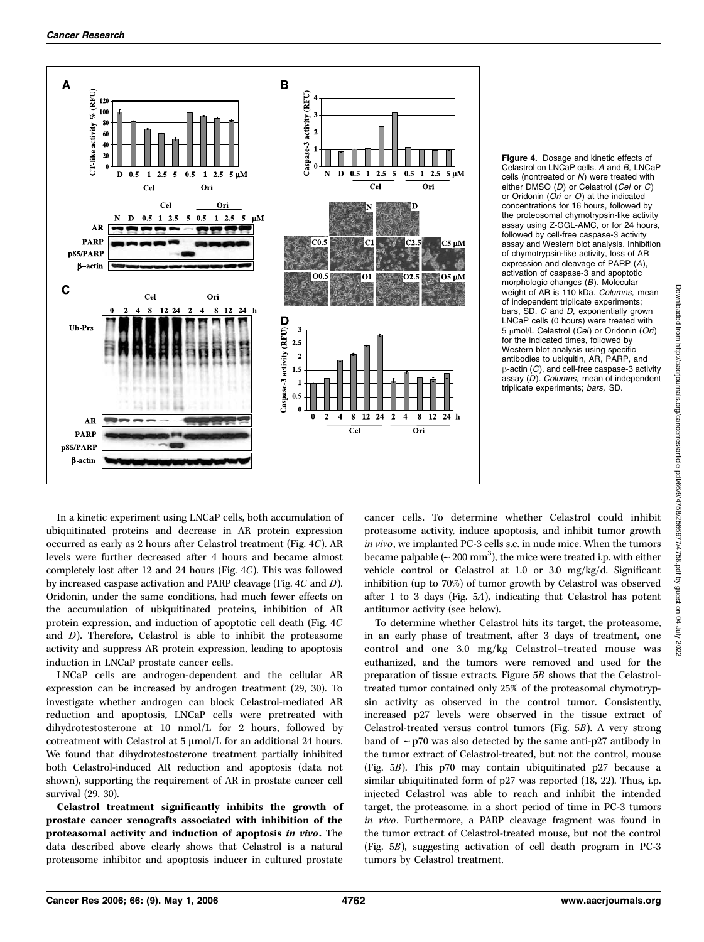

Figure 4. Dosage and kinetic effects of Celastrol on LNCaP cells. A and B, LNCaP cells (nontreated or  $N$ ) were treated with either DMSO ( $D$ ) or Celastrol ( $C$ el or  $C$ ) either DMSO (*D*) or Celastrol (*Cel* or *C*)<br>or Oridonin (*Ori* or *O*) at the indicated<br>concentrations for 16 hours, followed by concentrations for 16 hours, followed by the proteosomal chymotrypsin-like activity assay using Z-GGL-AMC, or for 24 hours, followed by cell-free caspase-3 activity assay and Western blot analysis. Inhibition of chymotrypsin-like activity, loss of AR expression and cleavage of PARP (A), activation of caspase-3 and apoptotic morphologic changes (B). Molecular weight of AR is 110 kDa. Columns, mean of independent triplicate experiments; bars, SD. C and D, exponentially grown LNCaP cells (0 hours) were treated with 5 µmol/L Celastrol (Cel) or Oridonin (Ori) for the indicated times, followed by Western blot analysis using specific antibodies to ubiquitin, AR, PARP, and  $\beta$ -actin (C), and cell-free caspase-3 activity assay (D). Columns, mean of independent triplicate experiments; bars, SD.

In a kinetic experiment using LNCaP cells, both accumulation of ubiquitinated proteins and decrease in AR protein expression occurred as early as 2 hours after Celastrol treatment (Fig. 4C). AR levels were further decreased after 4 hours and became almost completely lost after 12 and 24 hours (Fig. 4C). This was followed by increased caspase activation and PARP cleavage (Fig. 4C and D). Oridonin, under the same conditions, had much fewer effects on the accumulation of ubiquitinated proteins, inhibition of AR protein expression, and induction of apoptotic cell death (Fig. 4C and D). Therefore, Celastrol is able to inhibit the proteasome activity and suppress AR protein expression, leading to apoptosis induction in LNCaP prostate cancer cells.

LNCaP cells are androgen-dependent and the cellular AR expression can be increased by androgen treatment (29, 30). To investigate whether androgen can block Celastrol-mediated AR reduction and apoptosis, LNCaP cells were pretreated with dihydrotestosterone at 10 nmol/L for 2 hours, followed by cotreatment with Celastrol at  $5 \mu$ mol/L for an additional 24 hours. We found that dihydrotestosterone treatment partially inhibited both Celastrol-induced AR reduction and apoptosis (data not shown), supporting the requirement of AR in prostate cancer cell survival (29, 30).

Celastrol treatment significantly inhibits the growth of prostate cancer xenografts associated with inhibition of the proteasomal activity and induction of apoptosis in vivo. The data described above clearly shows that Celastrol is a natural proteasome inhibitor and apoptosis inducer in cultured prostate

cancer cells. To determine whether Celastrol could inhibit proteasome activity, induce apoptosis, and inhibit tumor growth in vivo, we implanted PC-3 cells s.c. in nude mice. When the tumors became palpable  $({\sim}\,200\;\mathrm{mm}^3)$ , the mice were treated i.p. with either vehicle control or Celastrol at 1.0 or 3.0 mg/kg/d. Significant inhibition (up to 70%) of tumor growth by Celastrol was observed after 1 to 3 days (Fig. 5A), indicating that Celastrol has potent antitumor activity (see below).

To determine whether Celastrol hits its target, the proteasome, in an early phase of treatment, after 3 days of treatment, one control and one 3.0 mg/kg Celastrol–treated mouse was euthanized, and the tumors were removed and used for the preparation of tissue extracts. Figure 5B shows that the Celastroltreated tumor contained only 25% of the proteasomal chymotrypsin activity as observed in the control tumor. Consistently, increased p27 levels were observed in the tissue extract of Celastrol-treated versus control tumors (Fig. 5B). A very strong band of  $\sim$  p70 was also detected by the same anti-p27 antibody in the tumor extract of Celastrol-treated, but not the control, mouse (Fig. 5B). This p70 may contain ubiquitinated p27 because a similar ubiquitinated form of p27 was reported (18, 22). Thus, i.p. injected Celastrol was able to reach and inhibit the intended target, the proteasome, in a short period of time in PC-3 tumors in vivo. Furthermore, a PARP cleavage fragment was found in the tumor extract of Celastrol-treated mouse, but not the control (Fig. 5B), suggesting activation of cell death program in PC-3 tumors by Celastrol treatment.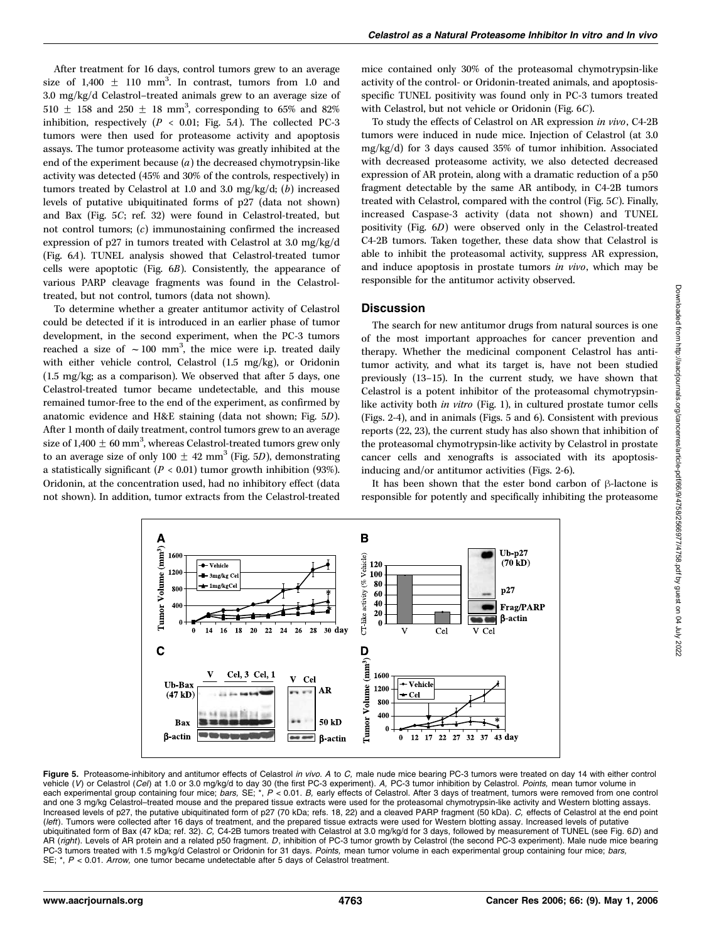After treatment for 16 days, control tumors grew to an average size of  $1,400 \pm 110 \text{ mm}^3$ . In contrast, tumors from 1.0 and 3.0 mg/kg/d Celastrol–treated animals grew to an average size of 510  $\pm$  158 and 250  $\pm$  18 mm<sup>3</sup>, corresponding to 65% and 82% inhibition, respectively ( $P < 0.01$ ; Fig. 5A). The collected PC-3 tumors were then used for proteasome activity and apoptosis assays. The tumor proteasome activity was greatly inhibited at the end of the experiment because  $(a)$  the decreased chymotrypsin-like activity was detected (45% and 30% of the controls, respectively) in tumors treated by Celastrol at 1.0 and 3.0 mg/kg/d;  $(b)$  increased levels of putative ubiquitinated forms of p27 (data not shown) and Bax (Fig. 5C; ref. 32) were found in Celastrol-treated, but not control tumors; (c) immunostaining confirmed the increased expression of p27 in tumors treated with Celastrol at 3.0 mg/kg/d (Fig. 6A). TUNEL analysis showed that Celastrol-treated tumor cells were apoptotic (Fig. 6B). Consistently, the appearance of various PARP cleavage fragments was found in the Celastroltreated, but not control, tumors (data not shown).

To determine whether a greater antitumor activity of Celastrol could be detected if it is introduced in an earlier phase of tumor development, in the second experiment, when the PC-3 tumors reached a size of  $\sim 100$  mm<sup>3</sup>, the mice were i.p. treated daily with either vehicle control, Celastrol (1.5 mg/kg), or Oridonin (1.5 mg/kg; as a comparison). We observed that after 5 days, one Celastrol-treated tumor became undetectable, and this mouse remained tumor-free to the end of the experiment, as confirmed by anatomic evidence and H&E staining (data not shown; Fig. 5D). After 1 month of daily treatment, control tumors grew to an average size of 1,400  $\pm$  60 mm<sup>3</sup>, whereas Celastrol-treated tumors grew only to an average size of only 100  $\pm$  42 mm<sup>3</sup> (Fig. 5D), demonstrating a statistically significant ( $P < 0.01$ ) tumor growth inhibition (93%). Oridonin, at the concentration used, had no inhibitory effect (data not shown). In addition, tumor extracts from the Celastrol-treated

mice contained only 30% of the proteasomal chymotrypsin-like activity of the control- or Oridonin-treated animals, and apoptosisspecific TUNEL positivity was found only in PC-3 tumors treated with Celastrol, but not vehicle or Oridonin (Fig. 6C).

To study the effects of Celastrol on AR expression in vivo, C4-2B tumors were induced in nude mice. Injection of Celastrol (at 3.0 mg/kg/d) for 3 days caused 35% of tumor inhibition. Associated with decreased proteasome activity, we also detected decreased expression of AR protein, along with a dramatic reduction of a p50 fragment detectable by the same AR antibody, in C4-2B tumors treated with Celastrol, compared with the control (Fig. 5C). Finally, increased Caspase-3 activity (data not shown) and TUNEL positivity (Fig. 6D) were observed only in the Celastrol-treated C4-2B tumors. Taken together, these data show that Celastrol is able to inhibit the proteasomal activity, suppress AR expression, and induce apoptosis in prostate tumors in vivo, which may be responsible for the antitumor activity observed.

### **Discussion**

The search for new antitumor drugs from natural sources is one of the most important approaches for cancer prevention and therapy. Whether the medicinal component Celastrol has antitumor activity, and what its target is, have not been studied previously (13–15). In the current study, we have shown that Celastrol is a potent inhibitor of the proteasomal chymotrypsinlike activity both in vitro (Fig. 1), in cultured prostate tumor cells (Figs. 2-4), and in animals (Figs. 5 and 6). Consistent with previous reports (22, 23), the current study has also shown that inhibition of the proteasomal chymotrypsin-like activity by Celastrol in prostate cancer cells and xenografts is associated with its apoptosisinducing and/or antitumor activities (Figs. 2-6).

It has been shown that the ester bond carbon of  $\beta$ -lactone is responsible for potently and specifically inhibiting the proteasome



**Figure 5.** Proteasome-inhibitory and antitumor effects of Celastrol *in vivo. A* to *C*, male nude mice bearing PC-3 tumors were treated on day 14 with either control vehicle (V) or Celastrol (*Cel*) at 1.0 or 3.0 mg/kg/ and one 3 mg/kg Celastrol-treated mouse and the prepared tissue extracts were used for the proteasomal chymotrypsin-like activity and Western blotting assays. Increased levels of p27, the putative ubiquitinated form of p27 (70 kDa; refs. 18, 22) and a cleaved PARP fragment (50 kDa). C, effects of Celastrol at the end point (left). Tumors were collected after 16 days of treatment, and the prepared tissue extracts were used for Western blotting assay. Increased levels of putative ubiquitinated form of Bax (47 kDa; ref. 32). C, C4-2B tumors treated with Celastrol at 3.0 mg/kg/d for 3 days, followed by measurement of TUNEL (see Fig. 6D) and AR (right). Levels of AR protein and a related p50 fragment. D, inhibition of PC-3 tumor growth by Celastrol (the second PC-3 experiment). Male nude mice bearing PC-3 tumors treated with 1.5 mg/kg/d Celastrol or Oridonin for 31 days. Points, mean tumor volume in each experimental group containing four mice; bars, SE; \*,  $P < 0.01$ . Arrow, one tumor became undetectable after 5 days of Celastrol treatment.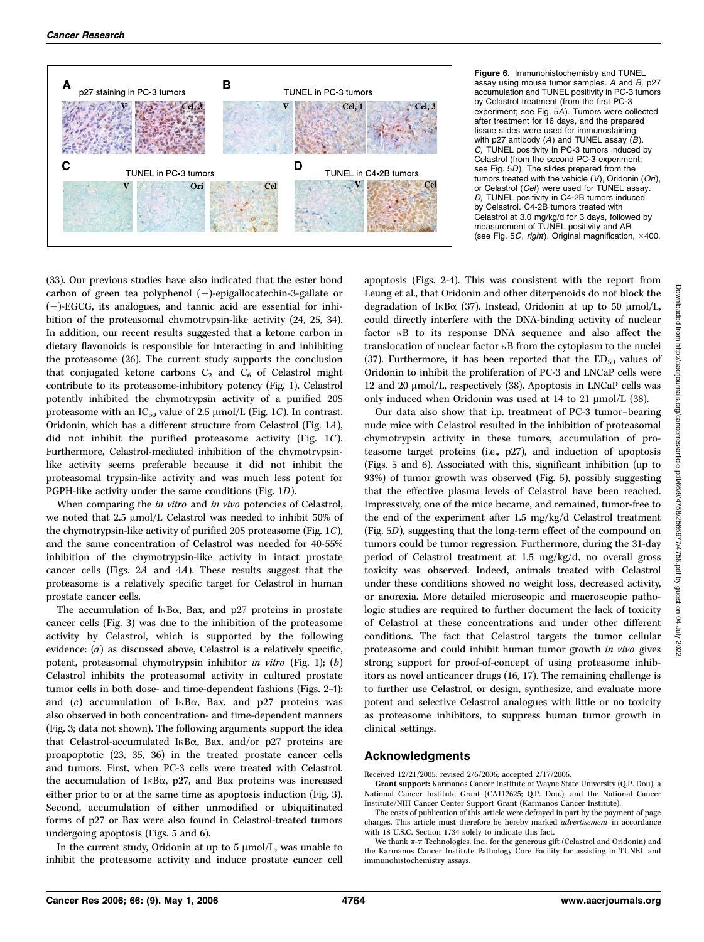

Figure 6. Immunohistochemistry and TUNEL assay using mouse tumor samples.  $A$  and  $B$ , p27 accumulation and TUNEL positivity in PC-3 tumors by Celastrol treatment (from the first PC-3 experiment; see Fig. 5A). Tumors were collected after treatment for 16 days, and the prepared tissue slides were used for immunostaining with p27 antibody  $(A)$  and TUNEL assay  $(B)$ . C, TUNEL positivity in PC-3 tumors induced by Celastrol (from the second PC-3 experiment; see Fig. 5D). The slides prepared from the tumors treated with the vehicle (V), Oridonin (Ori), or Celastrol (Cel) were used for TUNEL assay. D, TUNEL positivity in C4-2B tumors induced by Celastrol. C4-2B tumors treated with Celastrol at 3.0 mg/kg/d for 3 days, followed by measurement of TUNEL positivity and AR (see Fig. 5*C*, *right*). Original magnification,  $\times$ 400.

(33). Our previous studies have also indicated that the ester bond carbon of green tea polyphenol  $(-)$ -epigallocatechin-3-gallate or  $(-)$ -EGCG, its analogues, and tannic acid are essential for inhibition of the proteasomal chymotrypsin-like activity (24, 25, 34). In addition, our recent results suggested that a ketone carbon in dietary flavonoids is responsible for interacting in and inhibiting the proteasome (26). The current study supports the conclusion that conjugated ketone carbons  $C_2$  and  $C_6$  of Celastrol might contribute to its proteasome-inhibitory potency (Fig. 1). Celastrol potently inhibited the chymotrypsin activity of a purified 20S proteasome with an  $IC_{50}$  value of 2.5  $\mu$ mol/L (Fig. 1C). In contrast, Oridonin, which has a different structure from Celastrol (Fig. 1A), did not inhibit the purified proteasome activity (Fig. 1C). Furthermore, Celastrol-mediated inhibition of the chymotrypsinlike activity seems preferable because it did not inhibit the proteasomal trypsin-like activity and was much less potent for PGPH-like activity under the same conditions (Fig. 1D).

When comparing the *in vitro* and *in vivo* potencies of Celastrol, we noted that 2.5  $\mu$ mol/L Celastrol was needed to inhibit 50% of the chymotrypsin-like activity of purified 20S proteasome (Fig. 1C), and the same concentration of Celastrol was needed for 40-55% inhibition of the chymotrypsin-like activity in intact prostate cancer cells (Figs. 2A and 4A). These results suggest that the proteasome is a relatively specific target for Celastrol in human prostate cancer cells.

The accumulation of  $I \kappa B\alpha$ , Bax, and p27 proteins in prostate cancer cells (Fig. 3) was due to the inhibition of the proteasome activity by Celastrol, which is supported by the following evidence: (a) as discussed above, Celastrol is a relatively specific, potent, proteasomal chymotrypsin inhibitor in vitro (Fig. 1); (b) Celastrol inhibits the proteasomal activity in cultured prostate tumor cells in both dose- and time-dependent fashions (Figs. 2-4); and  $(c)$  accumulation of I $\kappa$ B $\alpha$ , Bax, and p27 proteins was also observed in both concentration- and time-dependent manners (Fig. 3; data not shown). The following arguments support the idea that Celastrol-accumulated I $\kappa$ B $\alpha$ , Bax, and/or p27 proteins are proapoptotic (23, 35, 36) in the treated prostate cancer cells and tumors. First, when PC-3 cells were treated with Celastrol, the accumulation of I $\kappa$ B $\alpha$ , p27, and Bax proteins was increased either prior to or at the same time as apoptosis induction (Fig. 3). Second, accumulation of either unmodified or ubiquitinated forms of p27 or Bax were also found in Celastrol-treated tumors undergoing apoptosis (Figs. 5 and 6).

In the current study, Oridonin at up to  $5 \mu \text{mol/L}$ , was unable to inhibit the proteasome activity and induce prostate cancer cell apoptosis (Figs. 2-4). This was consistent with the report from Leung et al., that Oridonin and other diterpenoids do not block the degradation of I $\kappa$ B $\alpha$  (37). Instead, Oridonin at up to 50  $\mu$ mol/L, could directly interfere with the DNA-binding activity of nuclear factor  $\kappa$ B to its response DNA sequence and also affect the translocation of nuclear factor  $\kappa$ B from the cytoplasm to the nuclei (37). Furthermore, it has been reported that the  $ED_{50}$  values of Oridonin to inhibit the proliferation of PC-3 and LNCaP cells were 12 and 20 µmol/L, respectively (38). Apoptosis in LNCaP cells was only induced when Oridonin was used at 14 to 21  $\mu$ mol/L (38).

Our data also show that i.p. treatment of PC-3 tumor–bearing nude mice with Celastrol resulted in the inhibition of proteasomal chymotrypsin activity in these tumors, accumulation of proteasome target proteins (i.e., p27), and induction of apoptosis (Figs. 5 and 6). Associated with this, significant inhibition (up to 93%) of tumor growth was observed (Fig. 5), possibly suggesting that the effective plasma levels of Celastrol have been reached. Impressively, one of the mice became, and remained, tumor-free to the end of the experiment after 1.5 mg/kg/d Celastrol treatment (Fig. 5D), suggesting that the long-term effect of the compound on tumors could be tumor regression. Furthermore, during the 31-day period of Celastrol treatment at 1.5 mg/kg/d, no overall gross toxicity was observed. Indeed, animals treated with Celastrol under these conditions showed no weight loss, decreased activity, or anorexia. More detailed microscopic and macroscopic pathologic studies are required to further document the lack of toxicity of Celastrol at these concentrations and under other different conditions. The fact that Celastrol targets the tumor cellular proteasome and could inhibit human tumor growth in vivo gives strong support for proof-of-concept of using proteasome inhibitors as novel anticancer drugs (16, 17). The remaining challenge is to further use Celastrol, or design, synthesize, and evaluate more potent and selective Celastrol analogues with little or no toxicity as proteasome inhibitors, to suppress human tumor growth in clinical settings.

#### Acknowledgments

Received 12/21/2005; revised 2/6/2006; accepted 2/17/2006.

Grant support: Karmanos Cancer Institute of Wayne State University (Q.P. Dou), a National Cancer Institute Grant (CA112625; Q.P. Dou.), and the National Cancer Institute/NIH Cancer Center Support Grant (Karmanos Cancer Institute).

The costs of publication of this article were defrayed in part by the payment of page charges. This article must therefore be hereby marked advertisement in accordance with 18 U.S.C. Section 1734 solely to indicate this fact.

We thank  $\pi$ - $\pi$  Technologies. Inc., for the generous gift (Celastrol and Oridonin) and the Karmanos Cancer Institute Pathology Core Facility for assisting in TUNEL and immunohistochemistry assays.